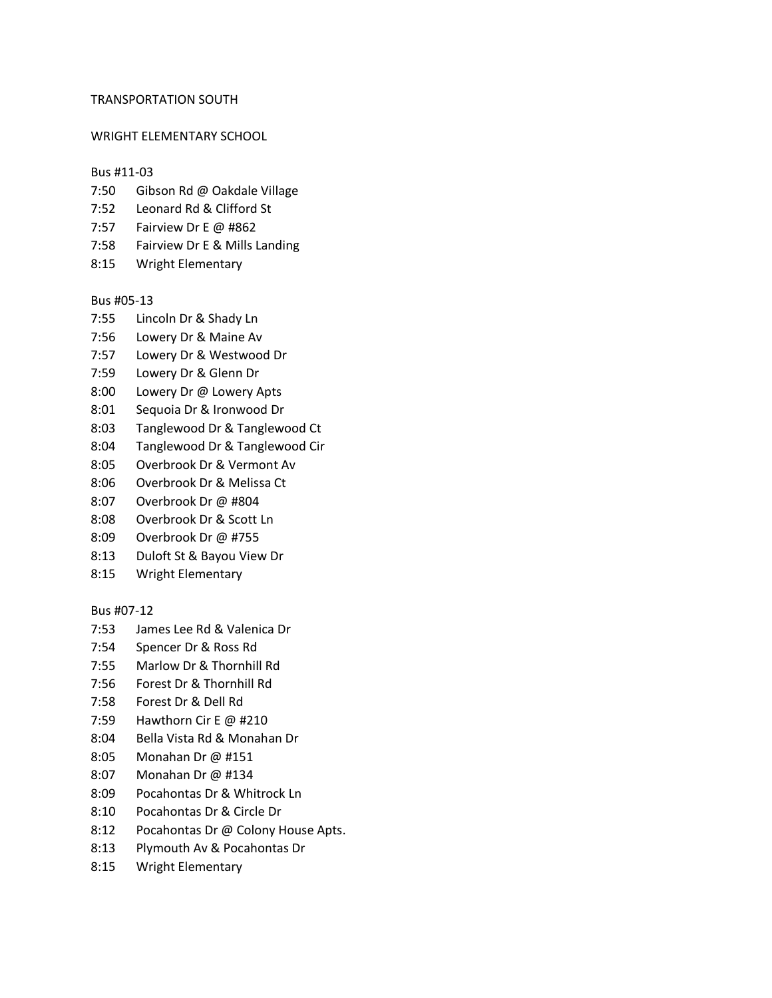### TRANSPORTATION SOUTH

#### WRIGHT ELEMENTARY SCHOOL

# Bus #11-03

- 7:50 Gibson Rd @ Oakdale Village
- 7:52 Leonard Rd & Clifford St
- 7:57 Fairview Dr E @ #862
- 7:58 Fairview Dr E & Mills Landing
- 8:15 Wright Elementary

#### Bus #05-13

- 7:55 Lincoln Dr & Shady Ln
- 7:56 Lowery Dr & Maine Av
- 7:57 Lowery Dr & Westwood Dr
- 7:59 Lowery Dr & Glenn Dr
- 8:00 Lowery Dr @ Lowery Apts
- 8:01 Sequoia Dr & Ironwood Dr
- 8:03 Tanglewood Dr & Tanglewood Ct
- 8:04 Tanglewood Dr & Tanglewood Cir
- 8:05 Overbrook Dr & Vermont Av
- 8:06 Overbrook Dr & Melissa Ct
- 8:07 Overbrook Dr @ #804
- 8:08 Overbrook Dr & Scott Ln
- 8:09 Overbrook Dr @ #755
- 8:13 Duloft St & Bayou View Dr
- 8:15 Wright Elementary

Bus #07-12

- 7:53 James Lee Rd & Valenica Dr
- 7:54 Spencer Dr & Ross Rd
- 7:55 Marlow Dr & Thornhill Rd
- 7:56 Forest Dr & Thornhill Rd
- 7:58 Forest Dr & Dell Rd
- 7:59 Hawthorn Cir E @ #210
- 8:04 Bella Vista Rd & Monahan Dr
- 8:05 Monahan Dr @ #151
- 8:07 Monahan Dr @ #134
- 8:09 Pocahontas Dr & Whitrock Ln
- 8:10 Pocahontas Dr & Circle Dr
- 8:12 Pocahontas Dr @ Colony House Apts.
- 8:13 Plymouth Av & Pocahontas Dr
- 8:15 Wright Elementary